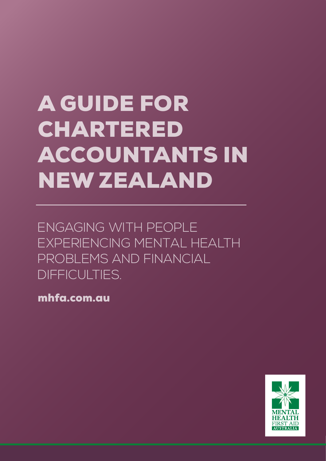# A GUIDE FOR CHARTERED ACCOUNTANTS IN NEW ZEALAND

ENGAGING WITH PEOPLE EXPERIENCING MENTAL HEALTH PROBLEMS AND FINANCIAL DIFFICULTIES.

mhfa.com.au

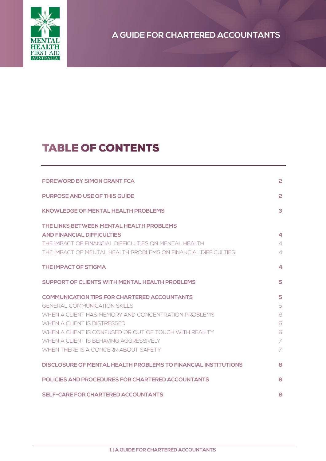

# TABLE OF CONTENTS

| <b>FOREWORD BY SIMON GRANT FCA</b>                                                                                                                                                                                             | 2                     |
|--------------------------------------------------------------------------------------------------------------------------------------------------------------------------------------------------------------------------------|-----------------------|
| <b>PURPOSE AND USE OF THIS GUIDE</b>                                                                                                                                                                                           | 2                     |
| <b>KNOWLEDGE OF MENTAL HEALTH PROBLEMS</b>                                                                                                                                                                                     | 3                     |
| THE LINKS BETWEEN MENTAL HEALTH PROBLEMS<br><b>AND FINANCIAL DIFFICULTIES</b><br>THE IMPACT OF FINANCIAL DIFFICULTIES ON MENTAL HEALTH<br>THE IMPACT OF MENTAL HEALTH PROBLEMS ON FINANCIAL DIFFICULTIES                       | 4<br>4<br>4           |
| <b>THE IMPACT OF STIGMA</b>                                                                                                                                                                                                    | 4                     |
| <b>SUPPORT OF CLIENTS WITH MENTAL HEALTH PROBLEMS</b>                                                                                                                                                                          | 5                     |
| <b>COMMUNICATION TIPS FOR CHARTERED ACCOUNTANTS</b><br>GENERAL COMMUNICATION SKILLS                                                                                                                                            | 5<br>5                |
| WHEN A CLIENT HAS MEMORY AND CONCENTRATION PROBLEMS<br>WHEN A CLIENT IS DISTRESSED<br>WHEN A CLIENT IS CONFUSED OR OUT OF TOUCH WITH REALITY<br>WHEN A CLIENT IS BEHAVING AGGRESSIVELY<br>WHEN THERE IS A CONCERN ABOUT SAFETY | 6<br>6<br>6<br>7<br>7 |
| DISCLOSURE OF MENTAL HEALTH PROBLEMS TO FINANCIAL INSTITUTIONS                                                                                                                                                                 | 8                     |
| <b>POLICIES AND PROCEDURES FOR CHARTERED ACCOUNTANTS</b>                                                                                                                                                                       | 8                     |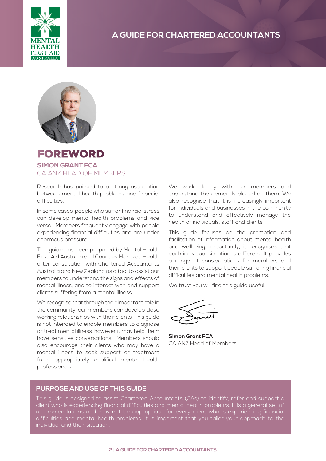



### FOREWORD **SIMON GRANT FCA** CA ANZ HEAD OF MEMBERS

Research has pointed to a strong association between mental health problems and financial difficulties.

In some cases, people who suffer financial stress can develop mental health problems and vice versa. Members frequently engage with people experiencing financial difficulties and are under enormous pressure.

This guide has been prepared by Mental Health First Aid Australia and Counties Manukau Health after consultation with Chartered Accountants Australia and New Zealand as a tool to assist our members to understand the signs and effects of mental illness, and to interact with and support clients suffering from a mental illness.

We recognise that through their important role in the community, our members can develop close working relationships with their clients. This guide is not intended to enable members to diagnose or treat mental illness, however it may help them have sensitive conversations. Members should also encourage their clients who may have a mental illness to seek support or treatment from appropriately qualified mental health professionals.

We work closely with our members and understand the demands placed on them. We also recognise that it is increasingly important for individuals and businesses in the community to understand and effectively manage the health of individuals, staff and clients.

This guide focuses on the promotion and facilitation of information about mental health and wellbeing. Importantly, it recognises that each individual situation is different. It provides a range of considerations for members and their clients to support people suffering financial difficulties and mental health problems.

We trust you will find this guide useful.

**Simon Grant FCA** CA ANZ Head of Members

### **PURPOSE AND USE OF THIS GUIDE**

This guide is designed to assist Chartered Accountants (CAs) to identify, refer and support a client who is experiencing financial difficulties and mental health problems. It is a general set of recommendations and may not be appropriate for every client who is experiencing financial difficulties and mental health problems. It is important that you tailor your approach to the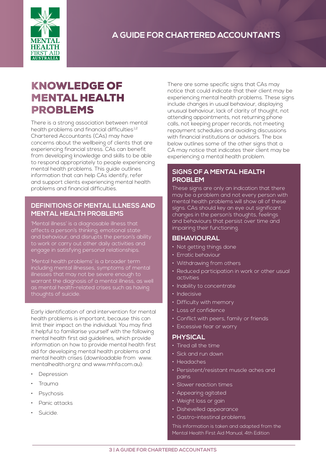

### KNOWLEDGE OF MENTAL HEALTH PROBLEMS

There is a strong association between mental health problems and financial difficulties<sup>1,2</sup> Chartered Accountants (CAs) may have concerns about the wellbeing of clients that are experiencing financial stress. CAs can benefit from developing knowledge and skills to be able to respond appropriately to people experiencing mental health problems. This guide outlines information that can help CAs identify, refer and support clients experiencing mental health problems and financial difficulties.

### **DEFINITIONS OF MENTAL ILLNESS AND MENTAL HEALTH PROBLEMS**

'Mental illness' is a diagnosable illness that affects a person's thinking, emotional state and behaviour, and disrupts the person's ability to work or carry out other daily activities and engage in satisfying personal relationships.

'Mental health problems' is a broader term including mental illnesses, symptoms of mental illnesses that may not be severe enough to warrant the diagnosis of a mental illness, as well as mental health-related crises such as having thoughts of suicide.

Early identification of and intervention for mental health problems is important, because this can limit their impact on the individual. You may find it helpful to familiarise yourself with the following mental health first aid guidelines, which provide information on how to provide mental health first aid for developing mental health problems and mental health crises (downloadable from www. mentalhealth.org.nz and www.mhfa.com.au):

- **Depression**
- Trauma
- **Psychosis**
- Panic attacks
- Suicide.

There are some specific signs that CAs may notice that could indicate that their client may be experiencing mental health problems. These signs include changes in usual behaviour, displaying unusual behaviour, lack of clarity of thought, not attending appointments, not returning phone calls, not keeping proper records, not meeting repayment schedules and avoiding discussions with financial institutions or advisors. The box below outlines some of the other signs that a CA may notice that indicates their client may be experiencing a mental health problem.

### **SIGNS OF A MENTAL HEALTH PROBLEM**

These signs are only an indication that there may be a problem and not every person with mental health problems will show all of these signs. CAs should key an eye out significant changes in the person's thoughts, feelings and behaviours that persist over time and impairing their functioning.

### **BEHAVIOURAL**

- Not getting things done
- Erratic behaviour
- Withdrawing from others
- Reduced participation in work or other usual activities
- Inability to concentrate
- Indecisive
- Difficulty with memory
- Loss of confidence
- Conflict with peers, family or friends
- Excessive fear or worry

### **PHYSICAL**

- Tired all the time
- Sick and run down
- Headaches
- Persistent/resistant muscle aches and pains
- Slower reaction times
- Appearing agitated
- Weight loss or gain
- Dishevelled appearance
- Gastro-intestinal problems

This information is taken and adapted from the Mental Health First Aid Manual, 4th Edition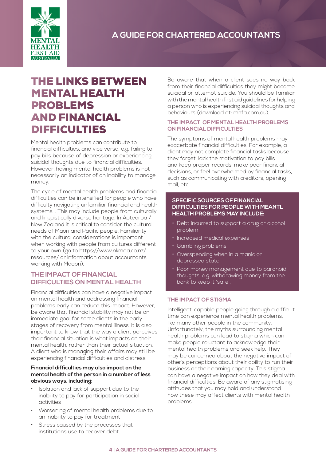

## THE LINKS BETWEEN MENTAL HEALTH PROBLEMS AND FINANCIAL DIFFICULTIES

Mental health problems can contribute to financial difficulties, and vice versa, e.g. failing to pay bills because of depression or experiencing suicidal thoughts due to financial difficulties. However, having mental health problems is not necessarily an indicator of an inability to manage money.

The cycle of mental health problems and financial difficulties can be intensified for people who have difficulty navigating unfamiliar financial and health systems. . This may include people from culturally and linguistically diverse heritage. In Aotearoa / New Zealand it is critical to consider the cultural needs of Maori and Pacific people. Familiarity with the cultural considerations is important when working with people from cultures different to your own (go to https://www.nkmoa.co.nz/ resources/ or information about accountants working with Maaori).

### **THE IMPACT OF FINANCIAL DIFFICULTIES ON MENTAL HEALTH**

Financial difficulties can have a negative impact on mental health and addressing financial problems early can reduce this impact. However, be aware that financial stability may not be an immediate goal for some clients in the early stages of recovery from mental illness. It is also important to know that the way a client perceives their financial situation is what impacts on their mental health, rather than their actual situation. A client who is managing their affairs may still be experiencing financial difficulties and distress.

#### **Financial difficulties may also impact on the mental health of the person in a number of less obvious ways, including:**

- Isolation and lack of support due to the inability to pay for participation in social activities
- Worsening of mental health problems due to an inability to pay for treatment
- Stress caused by the processes that institutions use to recover debt.

Be aware that when a client sees no way back from their financial difficulties they might become suicidal or attempt suicide. You should be familiar with the mental health first aid guidelines for helping a person who is experiencing suicidal thoughts and behaviours (download at: mhfa.com.au).

#### **THE IMPACT OF MENTAL HEALTH PROBLEMS ON FINANCIAL DIFFICULTIES**

The symptoms of mental health problems may exacerbate financial difficulties. For example, a client may not complete financial tasks because they forget, lack the motivation to pay bills and keep proper records, make poor financial decisions, or feel overwhelmed by financial tasks, such as communicating with creditors, opening mail, etc.

#### **SPECIFIC SOURCES OF FINANCIAL DIFFICULTIES FOR PEOPLE WITH MEANTL HEALTH PROBLEMS MAY INCLUDE:**

- Debt incurred to support a drug or alcohol problem
- Increased medical expenses
- Gambling problems
- Overspending when in a manic or depressed state
- Poor money management due to paranoid thoughts, e.g. withdrawing money from the bank to keep it 'safe'.

### **THE IMPACT OF STIGMA**

Intelligent, capable people going through a difficult time can experience mental health problems, like many other people in the community. Unfortunately, the myths surrounding mental health problems can lead to stigma which can make people reluctant to acknowledge their mental health problems and seek help. They may be concerned about the negative impact of other's perceptions about their ability to run their business or their earning capacity. This stigma can have a negative impact on how they deal with financial difficulties. Be aware of any stigmatising attitudes that you may hold and understand how these may affect clients with mental health problems.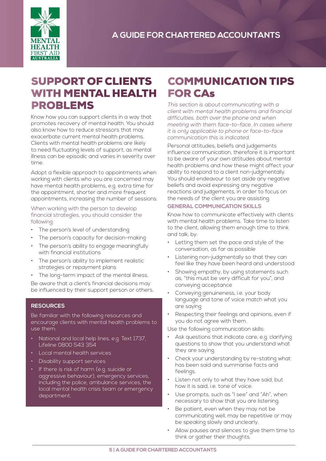

### SUPPORT OF CLIENTS WITH MENTAL HEALTH PROBLEMS

Know how you can support clients in a way that promotes recovery of mental health. You should also know how to reduce stressors that may exacerbate current mental health problems. Clients with mental health problems are likely to need fluctuating levels of support, as mental illness can be episodic and varies in severity over time.

Adopt a flexible approach to appointments when working with clients who you are concerned may have mental health problems, e.g. extra time for the appointment, shorter and more frequent appointments, increasing the number of sessions.

When working with the person to develop financial strategies, you should consider the following:

- The person's level of understanding
- The person's capacity for decision-making
- The person's ability to engage meaningfully with financial institutions
- The person's ability to implement realistic strategies or repayment plans
- The long-term impact of the mental illness. Be aware that a client's financial decisions may be influenced by their support person or others.

### **RESOURCES**

Be familiar with the following resources and encourage clients with mental health problems to use them:

- National and local help lines, e.g. Text 1737, Lifeline 0800 543 354
- Local mental health services
- Disability support services
- If there is risk of harm (e.g. suicide or aggressive behaviour), emergency services, including the police, ambulance services, the local mental health crisis team or emergency department.

### COMMUNICATION TIPS FOR CAs

*This section is about communicating with a client with mental health problems and financial difficulties, both over the phone and when meeting with them face-to-face. In cases where it is only applicable to phone or face-to-face communication this is indicated.*

Personal attitudes, beliefs and judgements influence communication, therefore it is important to be aware of your own attitudes about mental health problems and how these might affect your ability to respond to a client non-judgmentally. You should endeavour to set aside any negative beliefs and avoid expressing any negative reactions and judgements, in order to focus on the needs of the client you are assisting.

### **GENERAL COMMUNICATION SKILLS**

Know how to communicate effectively with clients with mental health problems. Take time to listen to the client, allowing them enough time to think and talk, by:

- Letting them set the pace and style of the conversation, as far as possible
- Listening non-judgmentally so that they can feel like they have been heard and understood
- Showing empathy, by using statements such as, "this must be very difficult for you", and conveying acceptance
- Conveying genuineness, i.e. your body language and tone of voice match what you are saying
- Respecting their feelings and opinions, even if you do not agree with them.

Use the following communication skills:

- Ask questions that indicate care, e.g. clarifying questions to show that you understand what they are saying.
- Check your understanding by re-stating what has been said and summarise facts and feelings.
- Listen not only to what they have said, but how it is said, i.e. tone of voice.
- Use prompts, such as "I see" and "Ah", when necessary to show that you are listening.
- Be patient, even when they may not be communicating well, may be repetitive or may be speaking slowly and unclearly.
- Allow pauses and silences to give them time to think or gather their thoughts.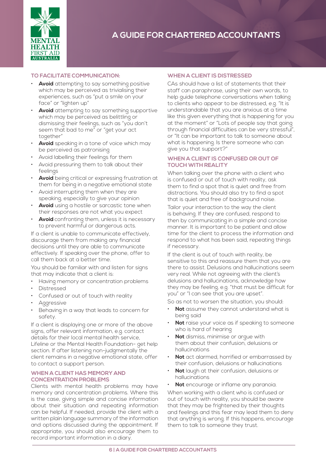

### **TO FACILITATE COMMUNICATION:**

- **Avoid** attempting to say something positive which may be perceived as trivialising their experiences, such as "put a smile on your face" or "lighten up"
- **Avoid** attempting to say something supportive which may be perceived as belittling or dismissing their feelings, such as "you don't seem that bad to me" or "get your act together"
- Avoid speaking in a tone of voice which may be perceived as patronising
- Avoid labelling their feelings for them
- Avoid pressuring them to talk about their feelings
- Avoid being critical or expressing frustration at them for being in a negative emotional state
- Avoid interrupting them when they are speaking, especially to give your opinion
- Avoid using a hostile or sarcastic tone when their responses are not what you expect
- **Avoid** confronting them, unless it is necessary to prevent harmful or dangerous acts.

If a client is unable to communicate effectively, discourage them from making any financial decisions until they are able to communicate effectively. If speaking over the phone, offer to call them back at a better time.

You should be familiar with and listen for signs that may indicate that a client is:

- Having memory or concentration problems
- **Distressed**
- Confused or out of touch with reality
- **Aggressive**
- Behaving in a way that leads to concern for safety.

If a client is displaying one or more of the above signs, offer relevant information, e.g. contact details for their local mental health service, Lifeline or the Mental Health Foundation- get help section. If after listening non-judgmentally the client remains in a negative emotional state, offer to contact a support person.

#### **WHEN A CLIENT HAS MEMORY AND CONCENTRATION PROBLEMS**

Clients with mental health problems may have memory and concentration problems. Where this is the case, giving simple and concise information about their situation and repeating information can be helpful. If needed, provide the client with a written plain language summary of the information and options discussed during the appointment. If appropriate, you should also encourage them to record important information in a diary.

#### **WHEN A CLIENT IS DISTRESSED**

CAs should have a list of statements that their staff can paraphrase, using their own words, to help guide telephone conversations when talking to clients who appear to be distressed, e.g. "It is understandable that you are anxious at a time like this given everything that is happening for you at the moment" or "Lots of people say that going through financial difficulties can be very stressful", or "It can be important to talk to someone about what is happening. Is there someone who can give you that support?"

#### **WHEN A CLIENT IS CONFUSED OR OUT OF TOUCH WITH REALITY**

When talking over the phone with a client who is confused or out of touch with reality, ask them to find a spot that is quiet and free from distractions. You should also try to find a spot that is quiet and free of background noise.

Tailor your interaction to the way the client is behaving. If they are confused, respond to then by communicating in a simple and concise manner. It is important to be patient and allow time for the client to process the information and respond to what has been said, repeating things if necessary.

If the client is out of touch with reality, be sensitive to this and reassure them that you are there to assist. Delusions and hallucinations seem very real. While not agreeing with the client's delusions and hallucinations, acknowledge how they may be feeling, e.g. "that must be difficult for you" or "I can see that you are upset".

So as not to worsen the situation, you should:

- **Not** assume they cannot understand what is being said
- **Not** raise your voice as if speaking to someone who is hard of hearing
- **Not** dismiss, minimise or argue with them about their confusion, delusions or hallucinations
- **Not** act alarmed, horrified or embarrassed by their confusion, delusions or hallucinations
- **Not** laugh at their confusion, delusions or hallucinations
- **Not** encourage or inflame any paranoia.

When working with a client who is confused or out of touch with reality, you should be aware that they may be frightened by their thoughts and feelings and this fear may lead them to deny that anything is wrong. If this happens, encourage them to talk to someone they trust.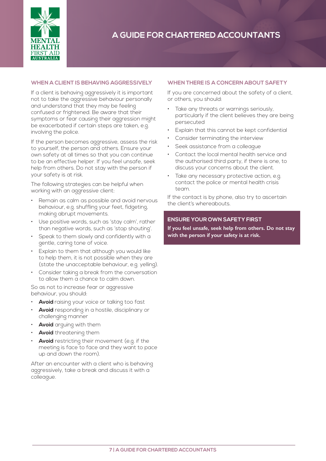

### **WHEN A CLIENT IS BEHAVING AGGRESSIVELY**

If a client is behaving aggressively it is important not to take the aggressive behaviour personally and understand that they may be feeling confused or frightened. Be aware that their symptoms or fear causing their aggression might be exacerbated if certain steps are taken, e.g. involving the police.

If the person becomes aggressive, assess the risk to yourself, the person and others. Ensure your own safety at all times so that you can continue to be an effective helper. If you feel unsafe, seek help from others. Do not stay with the person if your safety is at risk.

The following strategies can be helpful when working with an aggressive client:

- Remain as calm as possible and avoid nervous behaviour, e.g. shuffling your feet, fidgeting, making abrupt movements.
- Use positive words, such as 'stay calm', rather than negative words, such as 'stop shouting'.
- Speak to them slowly and confidently with a gentle, caring tone of voice.
- Explain to them that although you would like to help them, it is not possible when they are (state the unacceptable behaviour, e.g. yelling).
- Consider taking a break from the conversation to allow them a chance to calm down.

So as not to increase fear or aggressive behaviour, you should:

- **Avoid** raising your voice or talking too fast
- **Avoid** responding in a hostile, disciplinary or challenging manner
- **Avoid** arguing with them
- **Avoid** threatening them
- **Avoid** restricting their movement (e.g. if the meeting is face to face and they want to pace up and down the room).

After an encounter with a client who is behaving aggressively, take a break and discuss it with a colleague.

#### **WHEN THERE IS A CONCERN ABOUT SAFETY**

If you are concerned about the safety of a client, or others, you should:

- Take any threats or warnings seriously. particularly if the client believes they are being persecuted
- Explain that this cannot be kept confidential
- Consider terminating the interview
- Seek assistance from a colleague
- Contact the local mental health service and the authorised third party, if there is one, to discuss your concerns about the client.
- Take any necessary protective action, e.g. contact the police or mental health crisis team.

If the contact is by phone, also try to ascertain the client's whereabouts.

### **ENSURE YOUR OWN SAFETY FIRST**

**If you feel unsafe, seek help from others. Do not stay with the person if your safety is at risk.**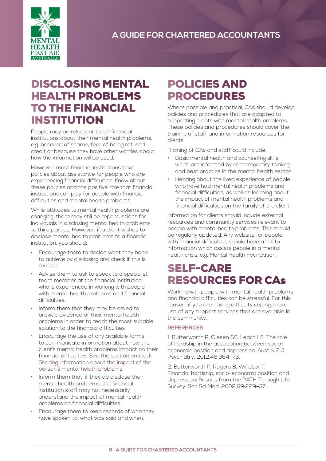

## DISCLOSING MENTAL HEALTH PROBLEMS TO THE FINANCIAL INSTITUTION

People may be reluctant to tell financial institutions about their mental health problems, e.g. because of shame, fear of being refused credit or because they have other worries about how the information will be used.

However, most financial institutions have policies about assistance for people who are experiencing financial difficulties. Know about these policies and the positive role that financial institutions can play for people with financial difficulties and mental health problems.

While attitudes to mental health problems are changing, there may still be repercussions for individuals in disclosing mental health problems to third parties. However, if a client wishes to disclose mental health problems to a financial institution, you should:

- Encourage them to decide what they hope to achieve by disclosing and check if this is realistic.
- Advise them to ask to speak to a specialist team member at the financial institution who is experienced in working with people with mental health problems and financial difficulties.
- Inform them that they may be asked to provide evidence of their mental health problems in order to reach the most suitable solution to the financial difficulties.
- Encourage the use of any available forms to communicate information about how the client's mental health problems impact on their financial difficulties. See the section entitled: Sharing information about the impact of the person's mental helath problems.
- Inform them that, if they do disclose their mental health problems, the financial institution staff may not necessarily understand the impact of mental health problems on financial difficulties.
- Encourage them to keep records of who they have spoken to, what was said and when.

# POLICIES AND PROCEDURES

Where possible and practical, CAs should develop policies and procedures that are adapted to supporting clients with mental health problems. These policies and procedures should cover the training of staff and information resources for clients.

Training of CAs and staff could include:

- Basic mental health and counselling skills, which are informed by contemporary thinking and best practice in the mental health sector
- Hearing about the lived experience of people who have had mental health problems and financial difficulties, as well as learning about the impact of mental health problems and financial difficulties on the family of the client.

Information for clients should include external resources and community services relevant to people with mental health problems. This should be regularly updated. Any website for people with financial difficulties should have a link to information which assists people in a mental health crisis, e.g. Mental Health Foundation.

# SELF-CARE RESOURCES FOR CAs

Working with people with mental health problems and financial difficulties can be stressful. For this reason, if you are having difficulty coping, make use of any support services that are available in the community.

### **REFERENCES**

1. Butterworth P, Olesen SC, Leach LS. The role of hardship in the association between socioeconomic position and depression. Aust N Z J Psychiatry. 2012;46:364–73.

2. Butterworth P, Rogers B, Windsor T. Financial hardship, socio-economic position and depression: Results from the PATH Through Life Survey. Soc Sci Med. 2009;69:229–37.